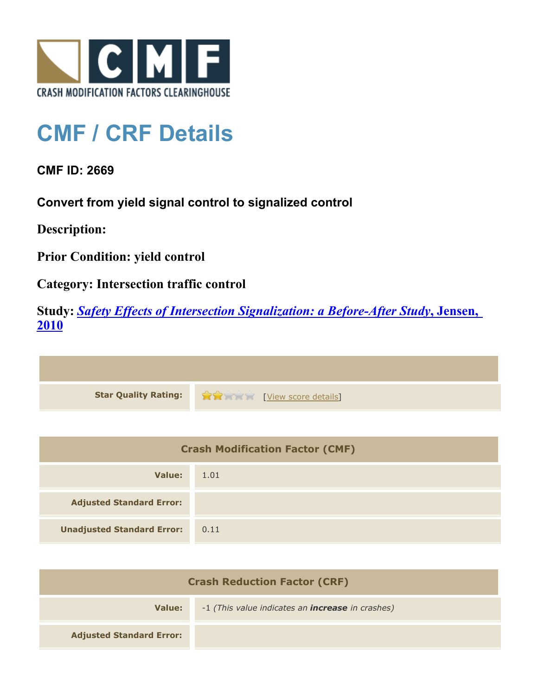

## **CMF / CRF Details**

**CMF ID: 2669**

**Convert from yield signal control to signalized control**

**Description:** 

**Prior Condition: yield control**

**Category: Intersection traffic control**

**Study:** *[Safety Effects of Intersection Signalization: a Before-After Study](http://www.cmfclearinghouse.org/study_detail.cfm?stid=170)***[, Jensen,](http://www.cmfclearinghouse.org/study_detail.cfm?stid=170) [2010](http://www.cmfclearinghouse.org/study_detail.cfm?stid=170)**



| <b>Crash Modification Factor (CMF)</b> |      |
|----------------------------------------|------|
| Value:                                 | 1.01 |
| <b>Adjusted Standard Error:</b>        |      |
| <b>Unadjusted Standard Error:</b>      | 0.11 |

| <b>Crash Reduction Factor (CRF)</b> |                                                         |
|-------------------------------------|---------------------------------------------------------|
| Value:                              | -1 (This value indicates an <b>increase</b> in crashes) |
| <b>Adjusted Standard Error:</b>     |                                                         |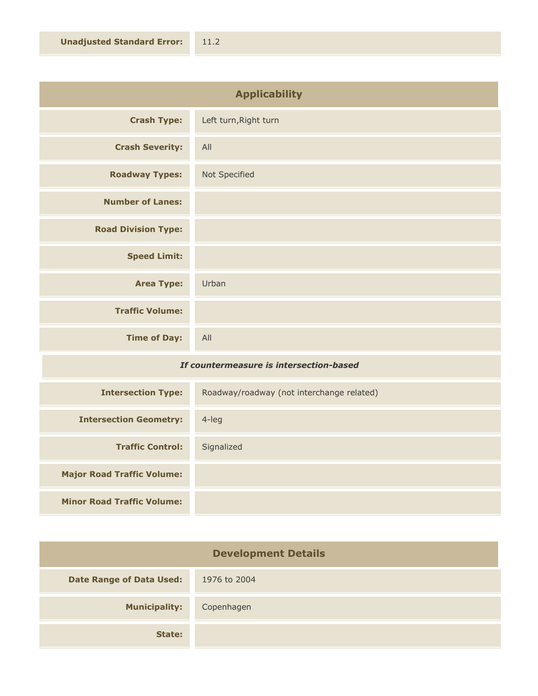| <b>Applicability</b>       |                       |
|----------------------------|-----------------------|
| <b>Crash Type:</b>         | Left turn, Right turn |
| <b>Crash Severity:</b>     | All                   |
| <b>Roadway Types:</b>      | Not Specified         |
| <b>Number of Lanes:</b>    |                       |
| <b>Road Division Type:</b> |                       |
| <b>Speed Limit:</b>        |                       |
| <b>Area Type:</b>          | Urban                 |
| <b>Traffic Volume:</b>     |                       |
| <b>Time of Day:</b>        | All                   |

## *If countermeasure is intersection-based*

| <b>Intersection Type:</b>         | Roadway/roadway (not interchange related) |
|-----------------------------------|-------------------------------------------|
| <b>Intersection Geometry:</b>     | $4$ -leg                                  |
| <b>Traffic Control:</b>           | Signalized                                |
| <b>Major Road Traffic Volume:</b> |                                           |
| <b>Minor Road Traffic Volume:</b> |                                           |

| <b>Development Details</b>      |              |
|---------------------------------|--------------|
| <b>Date Range of Data Used:</b> | 1976 to 2004 |
| <b>Municipality:</b>            | Copenhagen   |
| State:                          |              |